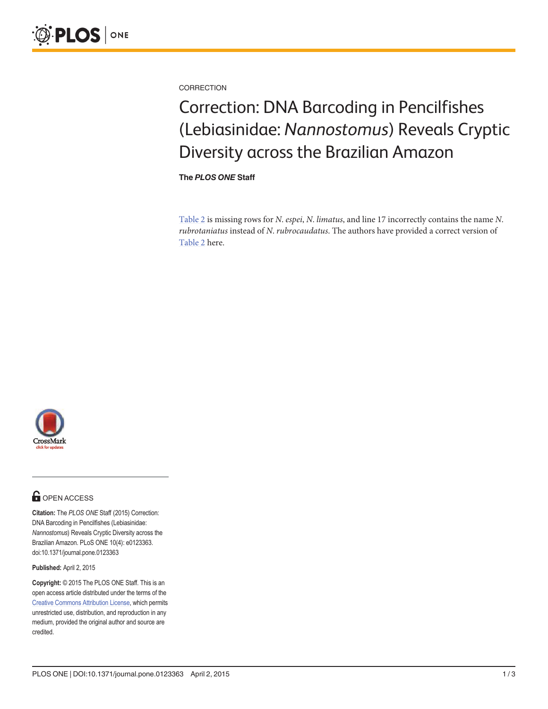<span id="page-0-0"></span>

**CORRECTION** 

## Correction: DNA Barcoding in Pencilfishes (Lebiasinidae: Nannostomus) Reveals Cryptic Diversity across the Brazilian Amazon

The PLOS ONE Staff

[Table 2](#page-1-0) is missing rows for N. espei, N. limatus, and line 17 incorrectly contains the name N. rubrotaniatus instead of N. rubrocaudatus. The authors have provided a correct version of [Table 2](#page-1-0) here.



## **OPEN ACCESS**

Citation: The PLOS ONE Staff (2015) Correction: DNA Barcoding in Pencilfishes (Lebiasinidae: Nannostomus) Reveals Cryptic Diversity across the Brazilian Amazon. PLoS ONE 10(4): e0123363. doi:10.1371/journal.pone.0123363

Published: April 2, 2015

Copyright: © 2015 The PLOS ONE Staff. This is an open access article distributed under the terms of the [Creative Commons Attribution License,](http://creativecommons.org/licenses/by/4.0/) which permits unrestricted use, distribution, and reproduction in any medium, provided the original author and source are credited.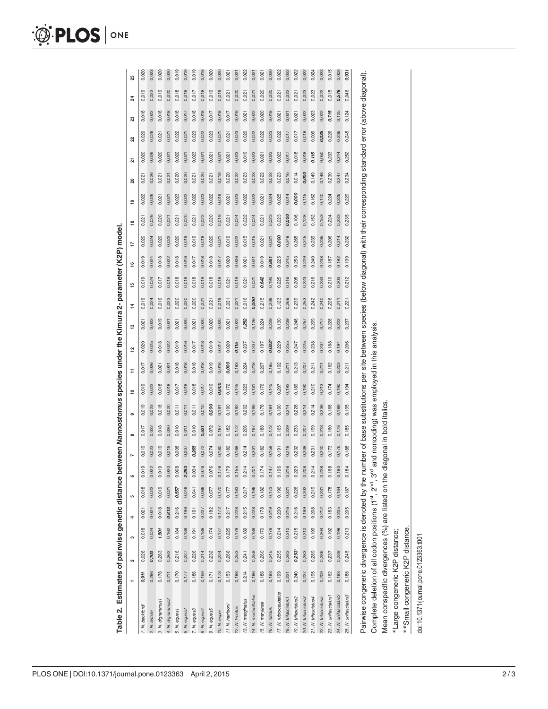<span id="page-1-0"></span>

|                                                         |       | 2        | S     | 4     | LO.   | 6                                                           | N     | $\infty$ | ၜ     | ۽     | Ξ     | $\frac{1}{2}$                                                                                                                 | $\frac{1}{2}$ | $\vec{a}$ | 15    | $\frac{6}{1}$ | ₽     | $\frac{8}{1}$ | ສ<br>e <sub>1</sub> | ন     | ೫     | ឌ     | $\boldsymbol{z}$ | 25    |       |
|---------------------------------------------------------|-------|----------|-------|-------|-------|-------------------------------------------------------------|-------|----------|-------|-------|-------|-------------------------------------------------------------------------------------------------------------------------------|---------------|-----------|-------|---------------|-------|---------------|---------------------|-------|-------|-------|------------------|-------|-------|
| 1. N. beckfordi                                         | 0,911 | 0,026    | 0,018 | 0,021 | 0,018 | 0,019                                                       | 0,019 | 0,017    | 0,019 | 0,019 | 0,017 | 0,020                                                                                                                         | 0,021         | 0,019     | 0,019 | 0,019         | 0,020 | 0,021         | 0,022               | 0,021 | 0,020 | 0,020 | 0,018            | 0,019 | 0,020 |
| 2. N. britskij                                          | 0,266 | 0,103    | 0,024 | 0,024 | 0,022 | 0,022                                                       | 0,023 | 0,022    | 0,023 | 0,022 | 0,026 | 0,025                                                                                                                         | 0,022         | 0,024     | 0,024 | 0,024         | 0,024 | 0,026         | 0,026               | 0,026 | 0,026 | 0,026 | 0.022<br>0.022   |       | 0,023 |
| 3. N. digrammus1                                        | 0,178 | 0,263    | 1,501 | 0,018 | 0,019 | 0,019                                                       | 0,019 | 0,018    | 0,018 | 0,018 | 0,021 | 0,018                                                                                                                         | 0,019         | 0,019     | 0,017 | 0,018         | 0,020 | 0,020         | 0,021               | 0,021 | 0,020 | 0,021 | 0,019<br>0,018   |       | 0,020 |
| 4. N. digrammus2                                        | 0,211 | 0,262    | 0,162 | 0,813 | 0,021 |                                                             | 0,019 | 0,020    | 0,020 | 0,018 | 0,021 | 0,022                                                                                                                         | 0,021         | 0,023     | 0,019 | 0,022         | 0,022 | 0,021         | 0,021               | 0,021 | 0,021 | 0,021 | 0,020<br>0,018   |       | 0,02  |
| 5. N. equest                                            | 0,170 | 0,216    | 0,184 | 0,216 | 0,557 |                                                             | 0,008 | 0,010    | 0,011 | 0,017 | 0,018 | 0,019                                                                                                                         | 0,021         | 0,020     | 0,018 | 0,018         | 0,020 | 0,021         | 0,023               | 0,020 | 0,022 | 0,022 | 0,018<br>0,018   |       | 0,019 |
| 6. N. eques2                                            | 0,177 | 0,227    | 0,188 | 0,196 | 0,048 |                                                             | 0,007 | 0,011    | 0,011 | 0,018 | 0,018 | 0,016                                                                                                                         | 0,020         | 0,020     | 0,018 | 0,016         | 0,019 | 0,020         | 0,022               | 0,020 | 0,021 | 0,021 | 0,018<br>0,017   |       | 0,019 |
| 7. N. eques3                                            | 0,186 | 0,226    | 0,191 | 0,191 | 0,041 |                                                             | 0,265 | 0,010    | 0,011 | 0,018 | 0,018 | 0,017                                                                                                                         | 0,021         | 0,020     | 0,018 | 0,017         | 0,019 | 0,021         | 0,022               | 0,021 | 0,023 | 0,023 | 0,017<br>0,018   |       | 0,019 |
| 8. N. eques4                                            | 0,159 | 0,214    | 0,186 | 0,207 | 0,066 |                                                             | 0,072 | 0,521    | 0,010 | 0,017 | 0,018 | 0,018                                                                                                                         | 0,020         | 0,021     | 0,019 | 0,018         | 0,018 | 0,022         | 0,023               | 0,020 | 0,021 | 0,022 | 0,018            | 0,018 | 0,018 |
| 9. N. eques5                                            | 0,171 | 0,232    | 0,174 | 0,182 | 0,077 |                                                             | 0,074 | 0,072    | 0,000 | 0,019 | 0,019 | 0,019                                                                                                                         | 0,020         | 0,021     | 0,018 | 0,018         | 0,020 | 0,020         | 0,022               | 0,021 | 0,021 | 0,023 | 0,019<br>0,017   |       | 0,020 |
| 10. N. espei                                            | 0,173 | 0,224    | 0,177 | 0,172 | 0,170 |                                                             | 0,180 | 0,167    | 0,191 | 0,000 | 0,018 | 0,017                                                                                                                         | 0,020         | 0,019     | 0,018 | 0,017         | 0,021 | 0,019         | 0,019               | 0,019 | 0,021 | 0,021 | 0,018            | 0,019 | 0,020 |
| 11. N. hamsoni                                          | 0,153 | 0,266    | 0,225 | 0,217 | 0,177 |                                                             | 0,182 | 0,182    | 0,190 | 0,172 | 0,000 | 0,020                                                                                                                         | 0,021         | 0,021     | 0,021 | 0,020         | 0,019 | 0,021         | 0,021               | 0,020 | 0,021 | 0,021 | 0,021<br>0,017   |       | 0,021 |
| 12. N. limatus                                          | 0,188 | 0,253    | 0,179 | 0,228 | 0,183 |                                                             | 0,168 | 0,172    | 0,192 | 0,145 | 0,193 | 0,115                                                                                                                         | 0,022         | 0,021     | 0,019 | 0,006         | 0,022 | 0,024         | 0,023               | 0,022 | 0,023 | 0,023 | 0,020<br>0,019   |       | 0,021 |
| 13. N. marginatus                                       | 0,214 | 0,241    | 0,189 | 0,215 | 0,217 |                                                             | 0,214 | 0,206    | 0,202 | 0,223 | 0,224 | 0,237                                                                                                                         | 1,252         | 0,016     | 0,021 | 0,021         | 0,015 | 0,022         | 0,022               | 0,023 | 0,019 | 0,020 | 0,021<br>0,021   |       | 0,022 |
| 14. N. mortenthaleri                                    | 0,186 | 0,258    | 0,188 | 0,228 | 0,196 |                                                             | 0,201 | 0,197    | 0,199 | 0,181 | 0,218 | 0,207                                                                                                                         | 0,126         | 0,000     | 0,021 | 0,021         | 0,015 | 0,024         | 0,022               | 0,023 | 0,023 | 0,022 | 0,021<br>0,022   |       | 0,021 |
| 15. N. marylinae                                        | 0,188 | 0,260    | 0,170 | 0,178 | 0,182 |                                                             | 0,182 | 0,188    | 0,178 | 0,176 | 0,207 | 0,197                                                                                                                         | 0,224         | 0,215     | 0,642 | 0,019         | 0,021 | 0,021         | 0,021               | 0,022 | 0,021 | 0,022 | 0,020<br>0,020   |       | 0,021 |
| 16. N. nitidus                                          | 0,183 | 0,245    | 0,178 | 0,219 | 0,173 |                                                             | 0,158 | 0,172    | 0,184 | 0,145 | 0,195 | 0,022                                                                                                                         | 0,229         | 0,208     | 0,190 | 0,881         | 0,021 | 0,023         | 0,024               | 0,022 | 0,023 | 0,023 | 0,020<br>0,019   |       | 0,020 |
| 17. N. rubrocaudatus                                    | 0,199 | 0,255    | 0,214 | 0,230 | 0,196 | 0,174<br>0,147<br>0,288<br>0,288<br>0,288<br>0,168<br>0,169 | 0,191 | 0,165    | 0,190 | 0,207 | 0,192 | 0,229                                                                                                                         | 0,130         | 0,123     | 0,225 | 0,225         | 0,000 | 0,023         | 0,025               | 0,023 | 0,023 | 0,022 | 0,021<br>0,021   |       | 0,022 |
| 18. N. trifasciatus 1                                   | 0,221 | 0,283    | 0,210 | 0,216 | 0,221 |                                                             | 0,218 | 0,229    | 0,214 | 0,192 | 0,211 | 0,255                                                                                                                         | 0,239         | 0,269     | 0,216 | 0,245         | 0,249 | 0,000         | 0,014               | 0,016 | 0,017 | 0,017 | 0,022<br>0,021   |       | 0,022 |
| 19. N. trifasciatus2                                    | 0,240 | $0,293*$ | 0,215 | 0,216 | 0,226 |                                                             | 0,232 | 0,233    | 0,228 | 0,189 | 0,213 | 0,247                                                                                                                         | 0,248         | 0,239     | 0,205 | 0,253         | 0,265 | 0,106         | 0,000               | 0,014 | 0,018 | 0,017 | 0,021<br>0,021   |       | 0,022 |
| 20. N. trifasciatus3                                    | 0,227 | 0,283    | 0,210 | 0,199 | 0,202 |                                                             | 0,208 | 0,207    | 0,214 | 0,190 | 0,207 | 0,225                                                                                                                         | 0,257         | 0,253     | 0,223 | 0,229         | 0,245 | 0,128         | 0,115               | 0,000 | 0,018 | 0,018 | 0,023<br>0,022   |       | 0,022 |
| 21. N. trifasciatus4                                    | 0,195 | 0,289    | 0,199 | 0,208 | 0,219 |                                                             | 0,231 | 0,199    | 0,214 | 0,210 | 0,211 | 0,238                                                                                                                         | 0,209         | 0,242     | 0,216 | 0,240         | 0,239 | 0,152         | 0,162               | 0,149 | 0,115 | 0,009 | 0,023<br>0,023   |       | 0,024 |
| 22. N. trifasciatus5                                    | 0,209 | 0,286    | 0,204 | 0,212 | 0,231 |                                                             | 0,240 | 0,213    | 0,238 | 0,213 | 0,211 | 0,234                                                                                                                         | 0,217         | 0,240     | 0,234 | 0,238         | 0,235 | 0,153         | 0,140               | 0,148 | 0,050 | 0,335 | 0,022<br>0,022   |       | 0,023 |
| 23. N. unifasciatus1                                    | 0,162 | 0,237    | 0,192 | 0,183 | 0,178 |                                                             | 0,173 | 0,160    | 0,166 | 0,174 | 0,162 | 0,188                                                                                                                         | 0,226         | 0,226     | 0,210 | 0,187         | 0,206 | 0,224         | 0,224               | 0,230 | 0,233 | 0,226 | 0,715            | 0,015 | 0,015 |
| 24. N. unifasciatus2                                    | 0,183 | 0,239    | 0,199 | 0,205 | 0,184 |                                                             | 0,176 | 0,178    | 0,189 | 0,190 | 0,203 | 0,194                                                                                                                         | 0,222         | 0,211     | 0,203 | 0,192         | 0,214 | 0,233         | 0,226               | 0,247 | 0,244 | 0,236 | 0,579<br>0,125   |       | 0,008 |
| 25. N. unifasciatus3                                    | 0,188 | 0,245    | 0,213 | 0,205 | 0,187 | 0,184                                                       | 0,188 | 0,185    | 0,195 | 0,194 | 0,211 | 0,206                                                                                                                         | 0,237         | 0,221     | 0,212 | 0,199         | 0,232 | 0,235         | 0,229               | 0,234 | 0,252 | 0,245 | 0,046<br>0,124   |       | 0,931 |
| Painvise congeneric divergence is denoted by the nu     |       |          |       |       |       |                                                             |       |          |       |       |       | mber of base substitutions per site between species (below diagonal) with their corresponding standard error (above diagonal) |               |           |       |               |       |               |                     |       |       |       |                  |       |       |
| Complete deletion of all codon positions (1st, 2nd, 3rd |       |          |       |       |       |                                                             |       |          |       |       |       | and noncoding) was employed in this analysis                                                                                  |               |           |       |               |       |               |                     |       |       |       |                  |       |       |

Table 2. Estimates of pairwise genetic distance between Nannostomus species under the Kimura 2- parameter (K2P) model. [Table](#page-0-0) 2. Estimates of pairwise genetic distance between Nannostomus species under the Kimura 2- parameter (K2P) model.

\*\*Small congeneric K2P distance. \*\*Small congeneric K2P distance.

Mean conspecific divergences (%) are listed on the diagonal in bold italics.

Mean conspecific divergences (%) are listed on the diagonal in bold italics.

doi:10.1371/journal.pone.0123363.t001 doi:10.1371/journal.pone.0123363.t001

\*Large congeneric K2P distance;

\*Large congeneric K2P distance;